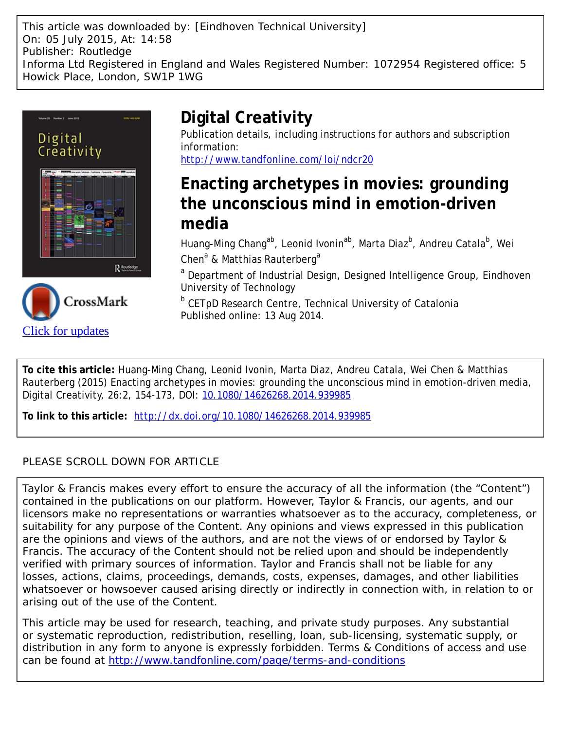This article was downloaded by: [Eindhoven Technical University] On: 05 July 2015, At: 14:58 Publisher: Routledge Informa Ltd Registered in England and Wales Registered Number: 1072954 Registered office: 5 Howick Place, London, SW1P 1WG





# **Digital Creativity**

Publication details, including instructions for authors and subscription information:

<http://www.tandfonline.com/loi/ndcr20>

## **Enacting archetypes in movies: grounding the unconscious mind in emotion-driven media**

Huang-Ming Chang<sup>ab</sup>, Leonid Ivonin<sup>ab</sup>, Marta Diaz<sup>b</sup>, Andreu Catala<sup>b</sup>, Wei Chen<sup>a</sup> & Matthias Rauterberg<sup>a</sup>

<sup>a</sup> Department of Industrial Design, Designed Intelligence Group, Eindhoven University of Technology

<sup>b</sup> CETpD Research Centre, Technical University of Catalonia Published online: 13 Aug 2014.

**To cite this article:** Huang-Ming Chang, Leonid Ivonin, Marta Diaz, Andreu Catala, Wei Chen & Matthias Rauterberg (2015) Enacting archetypes in movies: grounding the unconscious mind in emotion-driven media, Digital Creativity, 26:2, 154-173, DOI: [10.1080/14626268.2014.939985](http://www.tandfonline.com/action/showCitFormats?doi=10.1080/14626268.2014.939985)

**To link to this article:** <http://dx.doi.org/10.1080/14626268.2014.939985>

### PLEASE SCROLL DOWN FOR ARTICLE

Taylor & Francis makes every effort to ensure the accuracy of all the information (the "Content") contained in the publications on our platform. However, Taylor & Francis, our agents, and our licensors make no representations or warranties whatsoever as to the accuracy, completeness, or suitability for any purpose of the Content. Any opinions and views expressed in this publication are the opinions and views of the authors, and are not the views of or endorsed by Taylor & Francis. The accuracy of the Content should not be relied upon and should be independently verified with primary sources of information. Taylor and Francis shall not be liable for any losses, actions, claims, proceedings, demands, costs, expenses, damages, and other liabilities whatsoever or howsoever caused arising directly or indirectly in connection with, in relation to or arising out of the use of the Content.

This article may be used for research, teaching, and private study purposes. Any substantial or systematic reproduction, redistribution, reselling, loan, sub-licensing, systematic supply, or distribution in any form to anyone is expressly forbidden. Terms & Conditions of access and use can be found at <http://www.tandfonline.com/page/terms-and-conditions>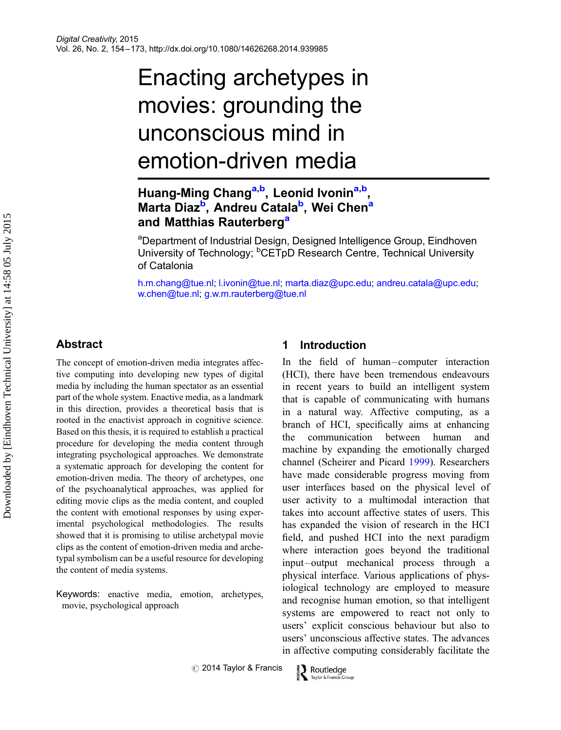# Enacting archetypes in movies: grounding the unconscious mind in emotion-driven media

## Huang-Ming Chang<sup>a,b</sup>, Leonid Ivonin<sup>a,b</sup>, Marta Diaz<sup>b</sup>, Andreu Catala<sup>b</sup>, Wei Chen<sup>a</sup> and Matthias Rauterberg<sup>a</sup>

<sup>a</sup>Department of Industrial Design, Designed Intelligence Group, Eindhoven University of Technology; <sup>b</sup>CETpD Research Centre, Technical University of Catalonia

[h.m.chang@tue.nl](mailto:h.m.chang@tue.nl); [l.ivonin@tue.nl;](mailto:l.ivonin@tue.nl) [marta.diaz@upc.edu;](mailto:marta.diaz@upc.edu) [andreu.catala@upc.edu;](mailto:andreu.catala@upc.edu) [w.chen@tue.nl](mailto:w.chen@tue.nl); [g.w.m.rauterberg@tue.nl](mailto:g.w.m.rauterberg@tue.nl)

#### **Abstract**

The concept of emotion-driven media integrates affective computing into developing new types of digital media by including the human spectator as an essential part of the whole system. Enactive media, as a landmark in this direction, provides a theoretical basis that is rooted in the enactivist approach in cognitive science. Based on this thesis, it is required to establish a practical procedure for developing the media content through integrating psychological approaches. We demonstrate a systematic approach for developing the content for emotion-driven media. The theory of archetypes, one of the psychoanalytical approaches, was applied for editing movie clips as the media content, and coupled the content with emotional responses by using experimental psychological methodologies. The results showed that it is promising to utilise archetypal movie clips as the content of emotion-driven media and archetypal symbolism can be a useful resource for developing the content of media systems.

Keywords: enactive media, emotion, archetypes, movie, psychological approach

#### 1 Introduction

In the field of human –computer interaction (HCI), there have been tremendous endeavours in recent years to build an intelligent system that is capable of communicating with humans in a natural way. Affective computing, as a branch of HCI, specifically aims at enhancing the communication between human and machine by expanding the emotionally charged channel (Scheirer and Picard [1999\)](#page-19-0). Researchers have made considerable progress moving from user interfaces based on the physical level of user activity to a multimodal interaction that takes into account affective states of users. This has expanded the vision of research in the HCI field, and pushed HCI into the next paradigm where interaction goes beyond the traditional input-output mechanical process through a physical interface. Various applications of physiological technology are employed to measure and recognise human emotion, so that intelligent systems are empowered to react not only to users' explicit conscious behaviour but also to users' unconscious affective states. The advances in affective computing considerably facilitate the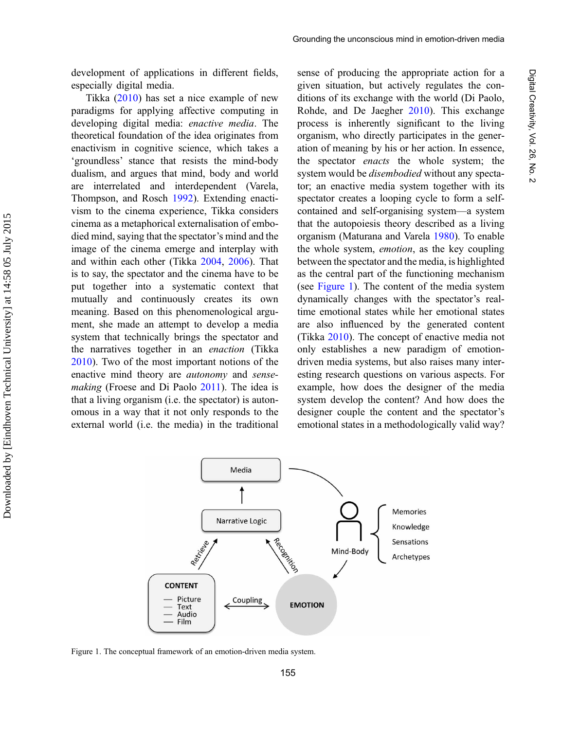development of applications in different fields, especially digital media.

Tikka [\(2010](#page-20-0)) has set a nice example of new paradigms for applying affective computing in developing digital media: enactive media. The theoretical foundation of the idea originates from enactivism in cognitive science, which takes a 'groundless' stance that resists the mind-body dualism, and argues that mind, body and world are interrelated and interdependent (Varela, Thompson, and Rosch [1992\)](#page-20-0). Extending enactivism to the cinema experience, Tikka considers cinema as a metaphorical externalisation of embodied mind, saying that the spectator's mind and the image of the cinema emerge and interplay with and within each other (Tikka [2004,](#page-19-0) [2006](#page-19-0)). That is to say, the spectator and the cinema have to be put together into a systematic context that mutually and continuously creates its own meaning. Based on this phenomenological argument, she made an attempt to develop a media system that technically brings the spectator and the narratives together in an enaction (Tikka [2010](#page-20-0)). Two of the most important notions of the enactive mind theory are autonomy and sense-making (Froese and Di Paolo [2011](#page-18-0)). The idea is that a living organism (i.e. the spectator) is autonomous in a way that it not only responds to the external world (i.e. the media) in the traditional

Downloaded by [Eindhoven Technical University] at 14:58 05 July 2015 Downloaded by [Eindhoven Technical University] at 14:58 05 July 2015

sense of producing the appropriate action for a given situation, but actively regulates the conditions of its exchange with the world (Di Paolo, Rohde, and De Jaegher [2010](#page-17-0)). This exchange process is inherently significant to the living organism, who directly participates in the generation of meaning by his or her action. In essence, the spectator *enacts* the whole system; the system would be disembodied without any spectator; an enactive media system together with its spectator creates a looping cycle to form a selfcontained and self-organising system—a system that the autopoiesis theory described as a living organism (Maturana and Varela [1980](#page-18-0)). To enable the whole system, emotion, as the key coupling between the spectator and the media, is highlighted as the central part of the functioning mechanism (see Figure 1). The content of the media system dynamically changes with the spectator's realtime emotional states while her emotional states are also influenced by the generated content (Tikka [2010](#page-20-0)). The concept of enactive media not only establishes a new paradigm of emotiondriven media systems, but also raises many interesting research questions on various aspects. For example, how does the designer of the media system develop the content? And how does the designer couple the content and the spectator's emotional states in a methodologically valid way?



Figure 1. The conceptual framework of an emotion-driven media system.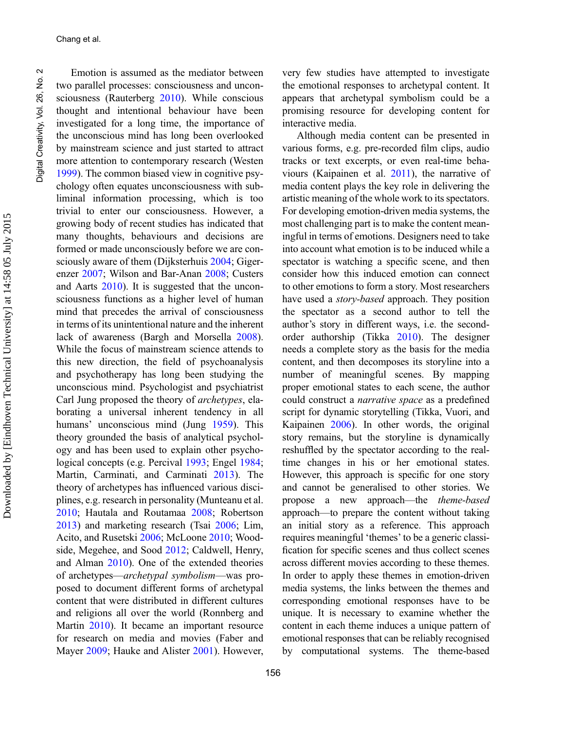Emotion is assumed as the mediator between two parallel processes: consciousness and unconsciousness (Rauterberg [2010\)](#page-19-0). While conscious thought and intentional behaviour have been investigated for a long time, the importance of the unconscious mind has long been overlooked by mainstream science and just started to attract more attention to contemporary research (Westen [1999\)](#page-20-0). The common biased view in cognitive psychology often equates unconsciousness with subliminal information processing, which is too trivial to enter our consciousness. However, a growing body of recent studies has indicated that many thoughts, behaviours and decisions are formed or made unconsciously before we are consciously aware of them (Dijksterhuis [2004](#page-17-0); Gigerenzer [2007](#page-18-0); Wilson and Bar-Anan [2008](#page-20-0); Custers and Aarts [2010](#page-17-0)). It is suggested that the unconsciousness functions as a higher level of human mind that precedes the arrival of consciousness in terms of its unintentional nature and the inherent lack of awareness (Bargh and Morsella [2008\)](#page-17-0). While the focus of mainstream science attends to this new direction, the field of psychoanalysis and psychotherapy has long been studying the unconscious mind. Psychologist and psychiatrist Carl Jung proposed the theory of archetypes, elaborating a universal inherent tendency in all humans' unconscious mind (Jung [1959\)](#page-18-0). This theory grounded the basis of analytical psychology and has been used to explain other psychological concepts (e.g. Percival [1993](#page-19-0); Engel [1984;](#page-17-0) Martin, Carminati, and Carminati [2013](#page-18-0)). The theory of archetypes has influenced various disciplines, e.g. research in personality (Munteanu et al. [2010;](#page-19-0) Hautala and Routamaa [2008;](#page-18-0) Robertson [2013\)](#page-19-0) and marketing research (Tsai [2006;](#page-20-0) Lim, Acito, and Rusetski [2006;](#page-18-0) McLoone [2010;](#page-18-0) Woodside, Megehee, and Sood [2012;](#page-20-0) Caldwell, Henry, and Alman [2010\)](#page-17-0). One of the extended theories of archetypes—archetypal symbolism—was proposed to document different forms of archetypal content that were distributed in different cultures and religions all over the world (Ronnberg and Martin [2010](#page-19-0)). It became an important resource for research on media and movies (Faber and Mayer [2009;](#page-17-0) Hauke and Alister [2001](#page-18-0)). However,

very few studies have attempted to investigate the emotional responses to archetypal content. It appears that archetypal symbolism could be a promising resource for developing content for interactive media.

Although media content can be presented in various forms, e.g. pre-recorded film clips, audio tracks or text excerpts, or even real-time behaviours (Kaipainen et al. [2011\)](#page-18-0), the narrative of media content plays the key role in delivering the artistic meaning of the whole work to its spectators. For developing emotion-driven media systems, the most challenging part is to make the content meaningful in terms of emotions. Designers need to take into account what emotion is to be induced while a spectator is watching a specific scene, and then consider how this induced emotion can connect to other emotions to form a story. Most researchers have used a *story-based* approach. They position the spectator as a second author to tell the author's story in different ways, i.e. the secondorder authorship (Tikka [2010](#page-20-0)). The designer needs a complete story as the basis for the media content, and then decomposes its storyline into a number of meaningful scenes. By mapping proper emotional states to each scene, the author could construct a narrative space as a predefined script for dynamic storytelling (Tikka, Vuori, and Kaipainen [2006\)](#page-20-0). In other words, the original story remains, but the storyline is dynamically reshuffled by the spectator according to the realtime changes in his or her emotional states. However, this approach is specific for one story and cannot be generalised to other stories. We propose a new approach—the theme-based approach—to prepare the content without taking an initial story as a reference. This approach requires meaningful 'themes' to be a generic classification for specific scenes and thus collect scenes across different movies according to these themes. In order to apply these themes in emotion-driven media systems, the links between the themes and corresponding emotional responses have to be unique. It is necessary to examine whether the content in each theme induces a unique pattern of emotional responses that can be reliably recognised by computational systems. The theme-based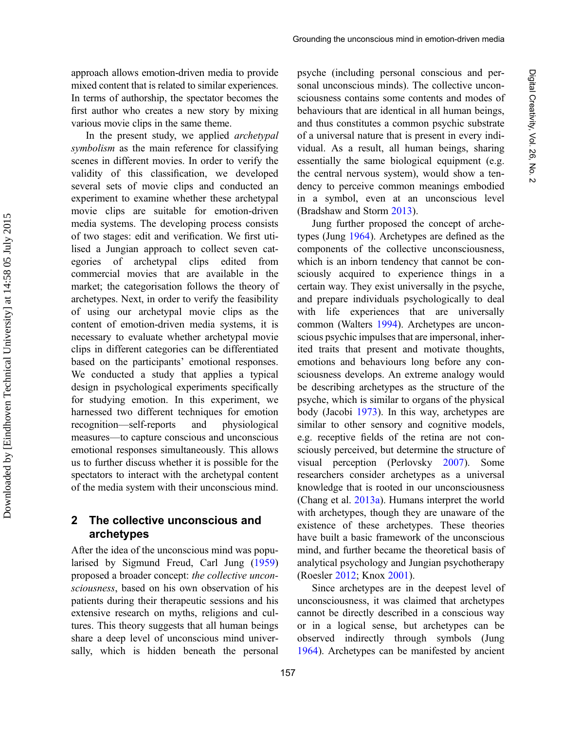approach allows emotion-driven media to provide mixed content that is related to similar experiences. In terms of authorship, the spectator becomes the first author who creates a new story by mixing various movie clips in the same theme.

In the present study, we applied archetypal symbolism as the main reference for classifying scenes in different movies. In order to verify the validity of this classification, we developed several sets of movie clips and conducted an experiment to examine whether these archetypal movie clips are suitable for emotion-driven media systems. The developing process consists of two stages: edit and verification. We first utilised a Jungian approach to collect seven categories of archetypal clips edited from commercial movies that are available in the market; the categorisation follows the theory of archetypes. Next, in order to verify the feasibility of using our archetypal movie clips as the content of emotion-driven media systems, it is necessary to evaluate whether archetypal movie clips in different categories can be differentiated based on the participants' emotional responses. We conducted a study that applies a typical design in psychological experiments specifically for studying emotion. In this experiment, we harnessed two different techniques for emotion recognition—self-reports and physiological measures—to capture conscious and unconscious emotional responses simultaneously. This allows us to further discuss whether it is possible for the spectators to interact with the archetypal content of the media system with their unconscious mind.

#### 2 The collective unconscious and archetypes

After the idea of the unconscious mind was popularised by Sigmund Freud, Carl Jung ([1959\)](#page-18-0) proposed a broader concept: the collective unconsciousness, based on his own observation of his patients during their therapeutic sessions and his extensive research on myths, religions and cultures. This theory suggests that all human beings share a deep level of unconscious mind universally, which is hidden beneath the personal psyche (including personal conscious and personal unconscious minds). The collective unconsciousness contains some contents and modes of behaviours that are identical in all human beings, and thus constitutes a common psychic substrate of a universal nature that is present in every individual. As a result, all human beings, sharing essentially the same biological equipment (e.g. the central nervous system), would show a tendency to perceive common meanings embodied in a symbol, even at an unconscious level (Bradshaw and Storm [2013\)](#page-17-0).

Jung further proposed the concept of archetypes (Jung [1964\)](#page-18-0). Archetypes are defined as the components of the collective unconsciousness, which is an inborn tendency that cannot be consciously acquired to experience things in a certain way. They exist universally in the psyche, and prepare individuals psychologically to deal with life experiences that are universally common (Walters [1994\)](#page-20-0). Archetypes are unconscious psychic impulses that are impersonal, inherited traits that present and motivate thoughts, emotions and behaviours long before any consciousness develops. An extreme analogy would be describing archetypes as the structure of the psyche, which is similar to organs of the physical body (Jacobi [1973\)](#page-18-0). In this way, archetypes are similar to other sensory and cognitive models, e.g. receptive fields of the retina are not consciously perceived, but determine the structure of visual perception (Perlovsky [2007](#page-19-0)). Some researchers consider archetypes as a universal knowledge that is rooted in our unconsciousness (Chang et al. [2013a](#page-17-0)). Humans interpret the world with archetypes, though they are unaware of the existence of these archetypes. These theories have built a basic framework of the unconscious mind, and further became the theoretical basis of analytical psychology and Jungian psychotherapy (Roesler [2012](#page-19-0); Knox [2001\)](#page-18-0).

Since archetypes are in the deepest level of unconsciousness, it was claimed that archetypes cannot be directly described in a conscious way or in a logical sense, but archetypes can be observed indirectly through symbols (Jung [1964](#page-18-0)). Archetypes can be manifested by ancient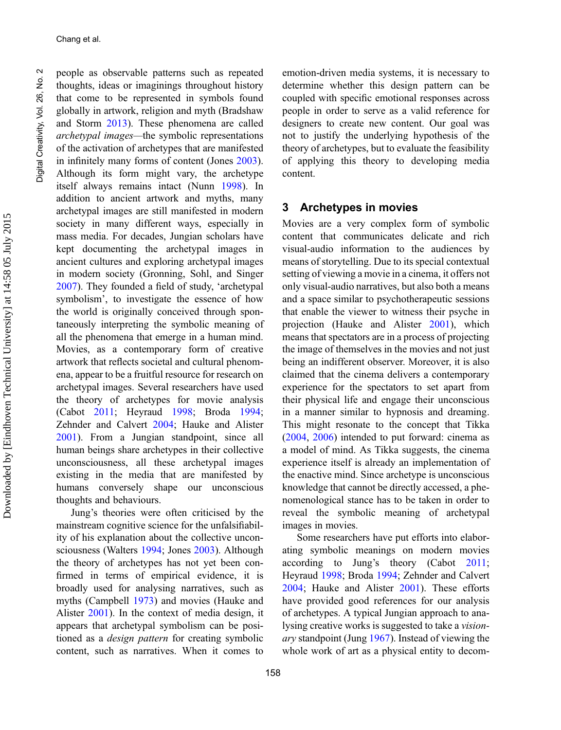Chang et al.

people as observable patterns such as repeated thoughts, ideas or imaginings throughout history that come to be represented in symbols found globally in artwork, religion and myth (Bradshaw and Storm [2013\)](#page-17-0). These phenomena are called archetypal images—the symbolic representations of the activation of archetypes that are manifested in infinitely many forms of content (Jones [2003\)](#page-18-0). Although its form might vary, the archetype itself always remains intact (Nunn [1998](#page-19-0)). In addition to ancient artwork and myths, many archetypal images are still manifested in modern society in many different ways, especially in mass media. For decades, Jungian scholars have kept documenting the archetypal images in ancient cultures and exploring archetypal images in modern society (Gronning, Sohl, and Singer [2007\)](#page-18-0). They founded a field of study, 'archetypal symbolism', to investigate the essence of how the world is originally conceived through spontaneously interpreting the symbolic meaning of all the phenomena that emerge in a human mind. Movies, as a contemporary form of creative artwork that reflects societal and cultural phenomena, appear to be a fruitful resource for research on archetypal images. Several researchers have used the theory of archetypes for movie analysis (Cabot [2011](#page-17-0); Heyraud [1998](#page-18-0); Broda [1994;](#page-17-0) Zehnder and Calvert [2004](#page-20-0); Hauke and Alister [2001\)](#page-18-0). From a Jungian standpoint, since all human beings share archetypes in their collective unconsciousness, all these archetypal images existing in the media that are manifested by humans conversely shape our unconscious thoughts and behaviours.

Jung's theories were often criticised by the mainstream cognitive science for the unfalsifiability of his explanation about the collective unconsciousness (Walters [1994;](#page-20-0) Jones [2003](#page-18-0)). Although the theory of archetypes has not yet been confirmed in terms of empirical evidence, it is broadly used for analysing narratives, such as myths (Campbell [1973](#page-17-0)) and movies (Hauke and Alister [2001](#page-18-0)). In the context of media design, it appears that archetypal symbolism can be positioned as a design pattern for creating symbolic content, such as narratives. When it comes to

emotion-driven media systems, it is necessary to determine whether this design pattern can be coupled with specific emotional responses across people in order to serve as a valid reference for designers to create new content. Our goal was not to justify the underlying hypothesis of the theory of archetypes, but to evaluate the feasibility of applying this theory to developing media content.

#### 3 Archetypes in movies

Movies are a very complex form of symbolic content that communicates delicate and rich visual-audio information to the audiences by means of storytelling. Due to its special contextual setting of viewing a movie in a cinema, it offers not only visual-audio narratives, but also both a means and a space similar to psychotherapeutic sessions that enable the viewer to witness their psyche in projection (Hauke and Alister [2001](#page-18-0)), which means that spectators are in a process of projecting the image of themselves in the movies and not just being an indifferent observer. Moreover, it is also claimed that the cinema delivers a contemporary experience for the spectators to set apart from their physical life and engage their unconscious in a manner similar to hypnosis and dreaming. This might resonate to the concept that Tikka ([2004,](#page-19-0) [2006\)](#page-19-0) intended to put forward: cinema as a model of mind. As Tikka suggests, the cinema experience itself is already an implementation of the enactive mind. Since archetype is unconscious knowledge that cannot be directly accessed, a phenomenological stance has to be taken in order to reveal the symbolic meaning of archetypal images in movies.

Some researchers have put efforts into elaborating symbolic meanings on modern movies according to Jung's theory (Cabot [2011;](#page-17-0) Heyraud [1998;](#page-18-0) Broda [1994;](#page-17-0) Zehnder and Calvert [2004;](#page-20-0) Hauke and Alister [2001\)](#page-18-0). These efforts have provided good references for our analysis of archetypes. A typical Jungian approach to analysing creative works is suggested to take a visionary standpoint (Jung [1967\)](#page-18-0). Instead of viewing the whole work of art as a physical entity to decom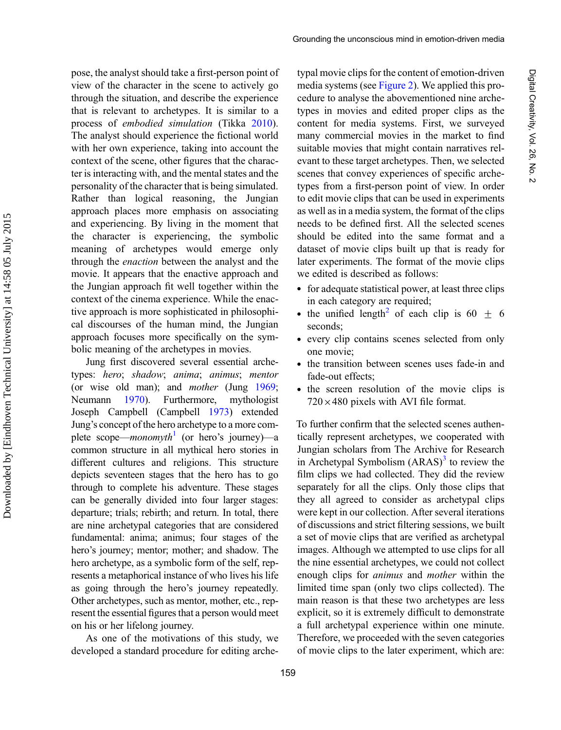pose, the analyst should take a first-person point of view of the character in the scene to actively go through the situation, and describe the experience that is relevant to archetypes. It is similar to a process of embodied simulation (Tikka [2010](#page-20-0)). The analyst should experience the fictional world with her own experience, taking into account the context of the scene, other figures that the character is interacting with, and the mental states and the personality of the character that is being simulated. Rather than logical reasoning, the Jungian approach places more emphasis on associating and experiencing. By living in the moment that the character is experiencing, the symbolic meaning of archetypes would emerge only through the enaction between the analyst and the movie. It appears that the enactive approach and the Jungian approach fit well together within the context of the cinema experience. While the enactive approach is more sophisticated in philosophical discourses of the human mind, the Jungian approach focuses more specifically on the symbolic meaning of the archetypes in movies.

Jung first discovered several essential archetypes: hero; shadow; anima; animus; mentor (or wise old man); and mother (Jung [1969](#page-18-0); Neumann [1970](#page-19-0)). Furthermore, mythologist Joseph Campbell (Campbell [1973\)](#page-17-0) extended Jung's concept of the hero archetype to a more complete scope—*monomyth*<sup>[1](#page-16-0)</sup> (or hero's journey)—a common structure in all mythical hero stories in different cultures and religions. This structure depicts seventeen stages that the hero has to go through to complete his adventure. These stages can be generally divided into four larger stages: departure; trials; rebirth; and return. In total, there are nine archetypal categories that are considered fundamental: anima; animus; four stages of the hero's journey; mentor; mother; and shadow. The hero archetype, as a symbolic form of the self, represents a metaphorical instance of who lives his life as going through the hero's journey repeatedly. Other archetypes, such as mentor, mother, etc., represent the essential figures that a person would meet on his or her lifelong journey.

As one of the motivations of this study, we developed a standard procedure for editing archetypal movie clips for the content of emotion-driven media systems (see [Figure 2\)](#page-7-0). We applied this procedure to analyse the abovementioned nine archetypes in movies and edited proper clips as the content for media systems. First, we surveyed many commercial movies in the market to find suitable movies that might contain narratives relevant to these target archetypes. Then, we selected scenes that convey experiences of specific archetypes from a first-person point of view. In order to edit movie clips that can be used in experiments as well as in a media system, the format of the clips needs to be defined first. All the selected scenes should be edited into the same format and a dataset of movie clips built up that is ready for later experiments. The format of the movie clips we edited is described as follows:

- . for adequate statistical power, at least three clips in each category are required;
- the unified length<sup>[2](#page-16-0)</sup> of each clip is 60  $\pm$  6 seconds;
- . every clip contains scenes selected from only one movie;
- . the transition between scenes uses fade-in and fade-out effects;
- . the screen resolution of the movie clips is  $720\times480$  pixels with AVI file format.

To further confirm that the selected scenes authentically represent archetypes, we cooperated with Jungian scholars from The Archive for Research in Archetypal Symbolism  $(ARAS)^3$  $(ARAS)^3$  to review the film clips we had collected. They did the review separately for all the clips. Only those clips that they all agreed to consider as archetypal clips were kept in our collection. After several iterations of discussions and strict filtering sessions, we built a set of movie clips that are verified as archetypal images. Although we attempted to use clips for all the nine essential archetypes, we could not collect enough clips for animus and mother within the limited time span (only two clips collected). The main reason is that these two archetypes are less explicit, so it is extremely difficult to demonstrate a full archetypal experience within one minute. Therefore, we proceeded with the seven categories of movie clips to the later experiment, which are: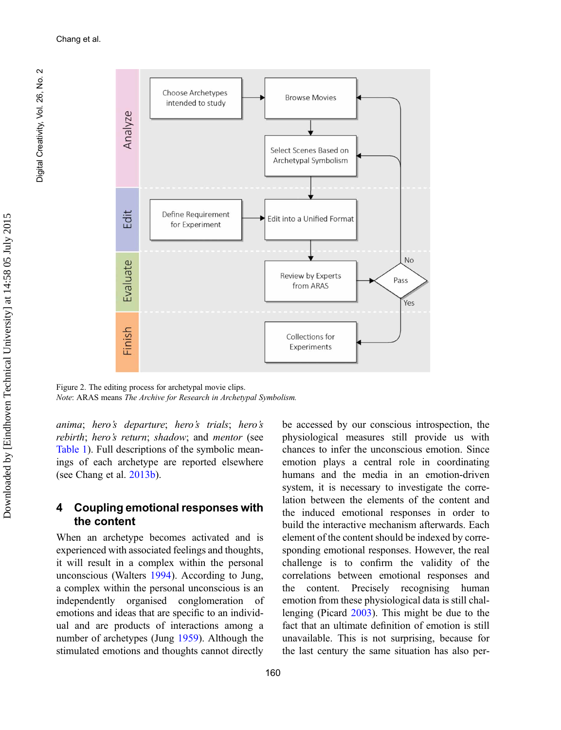Digital Creativity, Vol. 26, No. 2

Digital Creativity, Vol. 26, No.

<span id="page-7-0"></span> $\sim$ 



Figure 2. The editing process for archetypal movie clips. Note: ARAS means The Archive for Research in Archetypal Symbolism.

anima; hero's departure; hero's trials; hero's rebirth; hero's return; shadow; and mentor (see [Table 1\)](#page-8-0). Full descriptions of the symbolic meanings of each archetype are reported elsewhere (see Chang et al. [2013b\)](#page-17-0).

#### 4 Coupling emotional responses with the content

When an archetype becomes activated and is experienced with associated feelings and thoughts, it will result in a complex within the personal unconscious (Walters [1994\)](#page-20-0). According to Jung, a complex within the personal unconscious is an independently organised conglomeration of emotions and ideas that are specific to an individual and are products of interactions among a number of archetypes (Jung [1959\)](#page-18-0). Although the stimulated emotions and thoughts cannot directly

be accessed by our conscious introspection, the physiological measures still provide us with chances to infer the unconscious emotion. Since emotion plays a central role in coordinating humans and the media in an emotion-driven system, it is necessary to investigate the correlation between the elements of the content and the induced emotional responses in order to build the interactive mechanism afterwards. Each element of the content should be indexed by corresponding emotional responses. However, the real challenge is to confirm the validity of the correlations between emotional responses and the content. Precisely recognising human emotion from these physiological data is still challenging (Picard [2003](#page-19-0)). This might be due to the fact that an ultimate definition of emotion is still unavailable. This is not surprising, because for the last century the same situation has also per-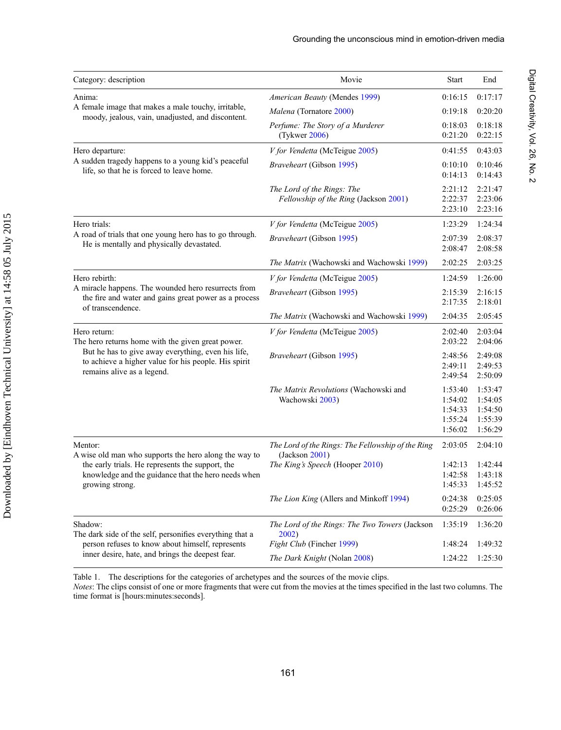Digital Creativity,

Vol. 26, No. 2

<span id="page-8-0"></span>

| Category: description                                                                                                                    | Movie                                                               | <b>Start</b>                                        | End                                                 |
|------------------------------------------------------------------------------------------------------------------------------------------|---------------------------------------------------------------------|-----------------------------------------------------|-----------------------------------------------------|
| Anima:                                                                                                                                   | American Beauty (Mendes 1999)                                       | 0:16:15                                             | 0:17:17                                             |
| A female image that makes a male touchy, irritable,<br>moody, jealous, vain, unadjusted, and discontent.                                 | Malena (Tornatore 2000)                                             | 0:19:18                                             | 0:20:20                                             |
|                                                                                                                                          | Perfume: The Story of a Murderer<br>(Tykwer 2006)                   | 0:18:03<br>0:21:20                                  | 0:18:18<br>0:22:15                                  |
| Hero departure:                                                                                                                          | V for Vendetta (McTeigue 2005)                                      | 0:41:55                                             | 0:43:03                                             |
| A sudden tragedy happens to a young kid's peaceful<br>life, so that he is forced to leave home.                                          | Braveheart (Gibson 1995)                                            | 0:10:10<br>0:14:13                                  | 0:10:46<br>0:14:43                                  |
|                                                                                                                                          | The Lord of the Rings: The<br>Fellowship of the Ring (Jackson 2001) | 2:21:12<br>2:22:37<br>2:23:10                       | 2:21:47<br>2:23:06<br>2:23:16                       |
| Hero trials:                                                                                                                             | V for Vendetta (McTeigue 2005)                                      | 1:23:29                                             | 1:24:34                                             |
| A road of trials that one young hero has to go through.<br>He is mentally and physically devastated.                                     | Braveheart (Gibson 1995)                                            | 2:07:39<br>2:08:47                                  | 2:08:37<br>2:08:58                                  |
|                                                                                                                                          | <i>The Matrix</i> (Wachowski and Wachowski 1999)                    | 2:02:25                                             | 2:03:25                                             |
| Hero rebirth:                                                                                                                            | V for Vendetta (McTeigue 2005)                                      | 1:24:59                                             | 1:26:00                                             |
| A miracle happens. The wounded hero resurrects from<br>the fire and water and gains great power as a process<br>of transcendence.        | <i>Braveheart</i> (Gibson 1995)                                     | 2:15:39<br>2:17:35                                  | 2:16:15<br>2:18:01                                  |
|                                                                                                                                          | The Matrix (Wachowski and Wachowski 1999)                           | 2:04:35                                             | 2:05:45                                             |
| Hero return:<br>The hero returns home with the given great power.                                                                        | V for Vendetta (McTeigue 2005)                                      | 2:02:40<br>2:03:22                                  | 2:03:04<br>2:04:06                                  |
| But he has to give away everything, even his life,<br>to achieve a higher value for his people. His spirit<br>remains alive as a legend. | Braveheart (Gibson 1995)                                            | 2:48:56<br>2:49:11<br>2:49:54                       | 2:49:08<br>2:49:53<br>2:50:09                       |
|                                                                                                                                          | The Matrix Revolutions (Wachowski and<br>Wachowski 2003)            | 1:53:40<br>1:54:02<br>1:54:33<br>1:55:24<br>1:56:02 | 1:53:47<br>1:54:05<br>1:54:50<br>1:55:39<br>1:56:29 |
| Mentor:<br>A wise old man who supports the hero along the way to                                                                         | The Lord of the Rings: The Fellowship of the Ring<br>(Jackson 2001) | 2:03:05                                             | 2:04:10                                             |
| the early trials. He represents the support, the<br>knowledge and the guidance that the hero needs when<br>growing strong.               | The King's Speech (Hooper 2010)                                     | 1:42:13<br>1:42:58<br>1:45:33                       | 1:42:44<br>1:43:18<br>1:45:52                       |
|                                                                                                                                          | The Lion King (Allers and Minkoff 1994)                             | 0:24:38<br>0:25:29                                  | 0:25:05<br>0:26:06                                  |
| Shadow:<br>The dark side of the self, personifies everything that a                                                                      | The Lord of the Rings: The Two Towers (Jackson<br>2002)             | 1:35:19                                             | 1:36:20                                             |
| person refuses to know about himself, represents                                                                                         | Fight Club (Fincher 1999)                                           | 1:48:24                                             | 1:49:32                                             |
| inner desire, hate, and brings the deepest fear.                                                                                         | The Dark Knight (Nolan 2008)                                        | 1:24:22                                             | 1:25:30                                             |

Table 1. The descriptions for the categories of archetypes and the sources of the movie clips.

Notes: The clips consist of one or more fragments that were cut from the movies at the times specified in the last two columns. The time format is [hours:minutes:seconds].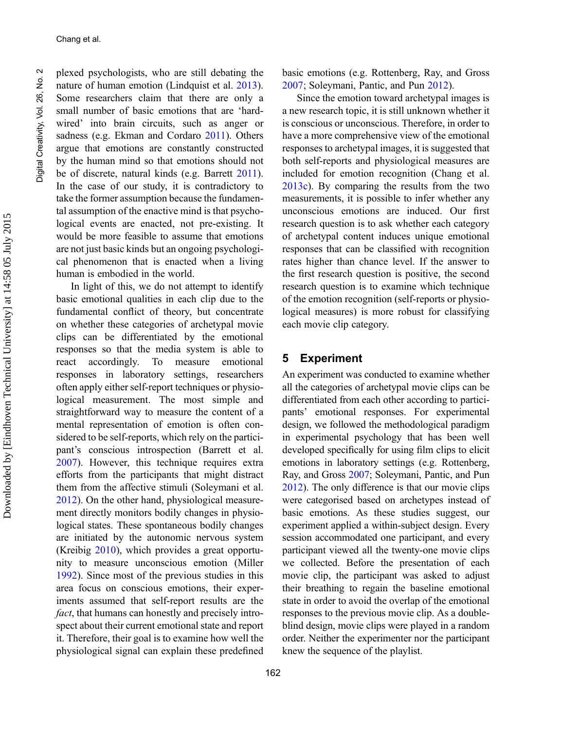Chang et al.

plexed psychologists, who are still debating the nature of human emotion (Lindquist et al. [2013\)](#page-18-0). Some researchers claim that there are only a small number of basic emotions that are 'hardwired' into brain circuits, such as anger or sadness (e.g. Ekman and Cordaro [2011\)](#page-17-0). Others argue that emotions are constantly constructed by the human mind so that emotions should not be of discrete, natural kinds (e.g. Barrett [2011\)](#page-17-0). In the case of our study, it is contradictory to take the former assumption because the fundamental assumption of the enactive mind is that psychological events are enacted, not pre-existing. It would be more feasible to assume that emotions are not just basic kinds but an ongoing psychological phenomenon that is enacted when a living human is embodied in the world.

In light of this, we do not attempt to identify basic emotional qualities in each clip due to the fundamental conflict of theory, but concentrate on whether these categories of archetypal movie clips can be differentiated by the emotional responses so that the media system is able to react accordingly. To measure emotional responses in laboratory settings, researchers often apply either self-report techniques or physiological measurement. The most simple and straightforward way to measure the content of a mental representation of emotion is often considered to be self-reports, which rely on the participant's conscious introspection (Barrett et al. [2007\)](#page-17-0). However, this technique requires extra efforts from the participants that might distract them from the affective stimuli (Soleymani et al. [2012\)](#page-19-0). On the other hand, physiological measurement directly monitors bodily changes in physiological states. These spontaneous bodily changes are initiated by the autonomic nervous system (Kreibig [2010\)](#page-18-0), which provides a great opportunity to measure unconscious emotion (Miller [1992\)](#page-19-0). Since most of the previous studies in this area focus on conscious emotions, their experiments assumed that self-report results are the fact, that humans can honestly and precisely introspect about their current emotional state and report it. Therefore, their goal is to examine how well the physiological signal can explain these predefined basic emotions (e.g. Rottenberg, Ray, and Gross [2007;](#page-19-0) Soleymani, Pantic, and Pun [2012\)](#page-19-0).

Since the emotion toward archetypal images is a new research topic, it is still unknown whether it is conscious or unconscious. Therefore, in order to have a more comprehensive view of the emotional responses to archetypal images, it is suggested that both self-reports and physiological measures are included for emotion recognition (Chang et al. [2013c](#page-17-0)). By comparing the results from the two measurements, it is possible to infer whether any unconscious emotions are induced. Our first research question is to ask whether each category of archetypal content induces unique emotional responses that can be classified with recognition rates higher than chance level. If the answer to the first research question is positive, the second research question is to examine which technique of the emotion recognition (self-reports or physiological measures) is more robust for classifying each movie clip category.

#### 5 Experiment

An experiment was conducted to examine whether all the categories of archetypal movie clips can be differentiated from each other according to participants' emotional responses. For experimental design, we followed the methodological paradigm in experimental psychology that has been well developed specifically for using film clips to elicit emotions in laboratory settings (e.g. Rottenberg, Ray, and Gross [2007;](#page-19-0) Soleymani, Pantic, and Pun [2012](#page-19-0)). The only difference is that our movie clips were categorised based on archetypes instead of basic emotions. As these studies suggest, our experiment applied a within-subject design. Every session accommodated one participant, and every participant viewed all the twenty-one movie clips we collected. Before the presentation of each movie clip, the participant was asked to adjust their breathing to regain the baseline emotional state in order to avoid the overlap of the emotional responses to the previous movie clip. As a doubleblind design, movie clips were played in a random order. Neither the experimenter nor the participant knew the sequence of the playlist.

Digital Creativity, Vol. 26, No. 2

Digital Creativity, Vol. 26, No.

 $\sim$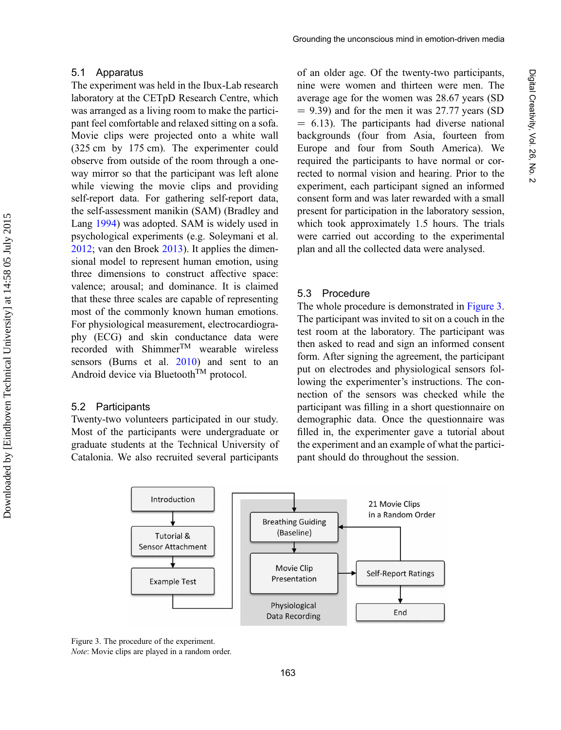The experiment was held in the Ibux-Lab research laboratory at the CETpD Research Centre, which was arranged as a living room to make the participant feel comfortable and relaxed sitting on a sofa. Movie clips were projected onto a white wall (325 cm by 175 cm). The experimenter could observe from outside of the room through a oneway mirror so that the participant was left alone while viewing the movie clips and providing self-report data. For gathering self-report data, the self-assessment manikin (SAM) (Bradley and Lang [1994](#page-17-0)) was adopted. SAM is widely used in psychological experiments (e.g. Soleymani et al. [2012](#page-19-0); van den Broek [2013\)](#page-20-0). It applies the dimensional model to represent human emotion, using three dimensions to construct affective space: valence; arousal; and dominance. It is claimed that these three scales are capable of representing most of the commonly known human emotions. For physiological measurement, electrocardiography (ECG) and skin conductance data were recorded with ShimmerTM wearable wireless sensors (Burns et al. [2010](#page-17-0)) and sent to an Android device via Bluetooth<sup>TM</sup> protocol.

#### 5.2 Participants

Twenty-two volunteers participated in our study. Most of the participants were undergraduate or graduate students at the Technical University of Catalonia. We also recruited several participants

of an older age. Of the twenty-two participants, nine were women and thirteen were men. The average age for the women was 28.67 years (SD  $= 9.39$ ) and for the men it was 27.77 years (SD  $= 6.13$ ). The participants had diverse national backgrounds (four from Asia, fourteen from Europe and four from South America). We required the participants to have normal or corrected to normal vision and hearing. Prior to the experiment, each participant signed an informed consent form and was later rewarded with a small present for participation in the laboratory session, which took approximately 1.5 hours. The trials were carried out according to the experimental plan and all the collected data were analysed.

#### 5.3 Procedure

The whole procedure is demonstrated in Figure 3. The participant was invited to sit on a couch in the test room at the laboratory. The participant was then asked to read and sign an informed consent form. After signing the agreement, the participant put on electrodes and physiological sensors following the experimenter's instructions. The connection of the sensors was checked while the participant was filling in a short questionnaire on demographic data. Once the questionnaire was filled in, the experimenter gave a tutorial about the experiment and an example of what the participant should do throughout the session.



Figure 3. The procedure of the experiment. Note: Movie clips are played in a random order.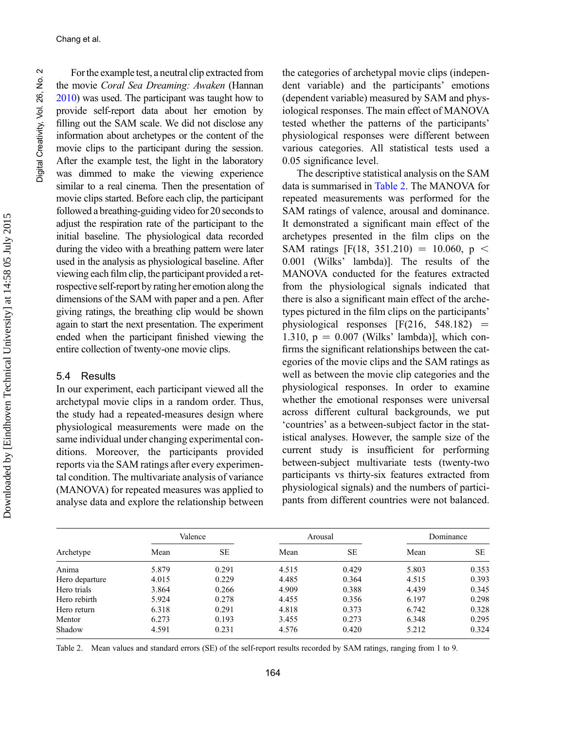For the example test, a neutral clip extracted from the movie Coral Sea Dreaming: Awaken (Hannan [2010](#page-18-0)) was used. The participant was taught how to provide self-report data about her emotion by filling out the SAM scale. We did not disclose any information about archetypes or the content of the movie clips to the participant during the session. After the example test, the light in the laboratory was dimmed to make the viewing experience similar to a real cinema. Then the presentation of movie clips started. Before each clip, the participant followed a breathing-guiding video for 20 seconds to adjust the respiration rate of the participant to the initial baseline. The physiological data recorded during the video with a breathing pattern were later used in the analysis as physiological baseline. After viewing each film clip, the participant provided a retrospective self-report by rating her emotion along the dimensions of the SAM with paper and a pen. After giving ratings, the breathing clip would be shown again to start the next presentation. The experiment ended when the participant finished viewing the entire collection of twenty-one movie clips.

#### 5.4 Results

In our experiment, each participant viewed all the archetypal movie clips in a random order. Thus, the study had a repeated-measures design where physiological measurements were made on the same individual under changing experimental conditions. Moreover, the participants provided reports via the SAM ratings after every experimental condition. The multivariate analysis of variance (MANOVA) for repeated measures was applied to analyse data and explore the relationship between the categories of archetypal movie clips (independent variable) and the participants' emotions (dependent variable) measured by SAM and physiological responses. The main effect of MANOVA tested whether the patterns of the participants' physiological responses were different between various categories. All statistical tests used a 0.05 significance level.

The descriptive statistical analysis on the SAM data is summarised in Table 2. The MANOVA for repeated measurements was performed for the SAM ratings of valence, arousal and dominance. It demonstrated a significant main effect of the archetypes presented in the film clips on the SAM ratings [F(18, 351.210) = 10.060, p < 0.001 (Wilks' lambda)]. The results of the MANOVA conducted for the features extracted from the physiological signals indicated that there is also a significant main effect of the archetypes pictured in the film clips on the participants' physiological responses  $[F(216, 548.182) =$ 1.310,  $p = 0.007$  (Wilks' lambda)], which confirms the significant relationships between the categories of the movie clips and the SAM ratings as well as between the movie clip categories and the physiological responses. In order to examine whether the emotional responses were universal across different cultural backgrounds, we put 'countries' as a between-subject factor in the statistical analyses. However, the sample size of the current study is insufficient for performing between-subject multivariate tests (twenty-two participants vs thirty-six features extracted from physiological signals) and the numbers of participants from different countries were not balanced.

| Archetype      | Valence |           |       | Arousal   | Dominance |           |  |
|----------------|---------|-----------|-------|-----------|-----------|-----------|--|
|                | Mean    | <b>SE</b> | Mean  | <b>SE</b> | Mean      | <b>SE</b> |  |
| Anima          | 5.879   | 0.291     | 4.515 | 0.429     | 5.803     | 0.353     |  |
| Hero departure | 4.015   | 0.229     | 4.485 | 0.364     | 4.515     | 0.393     |  |
| Hero trials    | 3.864   | 0.266     | 4.909 | 0.388     | 4.439     | 0.345     |  |
| Hero rebirth   | 5.924   | 0.278     | 4.455 | 0.356     | 6.197     | 0.298     |  |
| Hero return    | 6.318   | 0.291     | 4.818 | 0.373     | 6.742     | 0.328     |  |
| Mentor         | 6.273   | 0.193     | 3.455 | 0.273     | 6.348     | 0.295     |  |
| Shadow         | 4.591   | 0.231     | 4.576 | 0.420     | 5.212     | 0.324     |  |

Table 2. Mean values and standard errors (SE) of the self-report results recorded by SAM ratings, ranging from 1 to 9.

Downloaded by [Eindhoven Technical University] at 14:58 05 July 2015

Downloaded by [Eindhoven Technical University] at 14:58 05 July 2015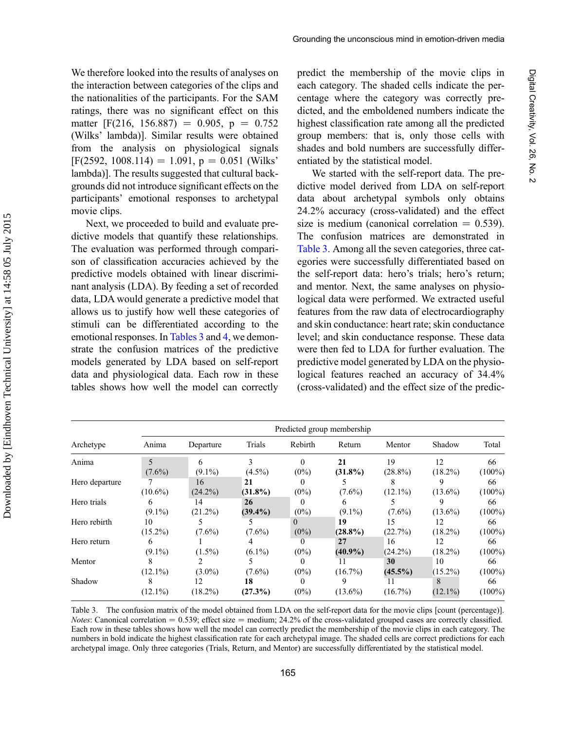We therefore looked into the results of analyses on the interaction between categories of the clips and the nationalities of the participants. For the SAM ratings, there was no significant effect on this matter [F(216, 156.887) = 0.905, p = 0.752 (Wilks' lambda)]. Similar results were obtained from the analysis on physiological signals  $[F(2592, 1008.114) = 1.091, p = 0.051$  (Wilks' lambda)]. The results suggested that cultural backgrounds did not introduce significant effects on the participants' emotional responses to archetypal movie clips.

Next, we proceeded to build and evaluate predictive models that quantify these relationships. The evaluation was performed through comparison of classification accuracies achieved by the predictive models obtained with linear discriminant analysis (LDA). By feeding a set of recorded data, LDA would generate a predictive model that allows us to justify how well these categories of stimuli can be differentiated according to the emotional responses. In Tables 3 and [4,](#page-13-0) we demonstrate the confusion matrices of the predictive models generated by LDA based on self-report data and physiological data. Each row in these tables shows how well the model can correctly

predict the membership of the movie clips in each category. The shaded cells indicate the percentage where the category was correctly predicted, and the emboldened numbers indicate the highest classification rate among all the predicted group members: that is, only those cells with shades and bold numbers are successfully differentiated by the statistical model.

We started with the self-report data. The predictive model derived from LDA on self-report data about archetypal symbols only obtains 24.2% accuracy (cross-validated) and the effect size is medium (canonical correlation  $= 0.539$ ). The confusion matrices are demonstrated in Table 3. Among all the seven categories, three categories were successfully differentiated based on the self-report data: hero's trials; hero's return; and mentor. Next, the same analyses on physiological data were performed. We extracted useful features from the raw data of electrocardiography and skin conductance: heart rate; skin conductance level; and skin conductance response. These data were then fed to LDA for further evaluation. The predictive model generated by LDA on the physiological features reached an accuracy of 34.4% (cross-validated) and the effect size of the predic-

| Archetype      | Predicted group membership |                  |                  |                     |                  |                  |                  |                 |  |
|----------------|----------------------------|------------------|------------------|---------------------|------------------|------------------|------------------|-----------------|--|
|                | Anima                      | Departure        | Trials           | Rebirth             | Return           | Mentor           | Shadow           | Total           |  |
| Anima          |                            | 6                | 3                | 0                   | 21               | 19               | 12               | 66              |  |
| Hero departure | $(7.6\%)$                  | $(9.1\%)$<br>16  | $(4.5\%)$<br>21  | $(0\%)$<br>0        | $(31.8\%)$       | $(28.8\%)$<br>8  | $(18.2\%)$<br>9  | $(100\%)$<br>66 |  |
| Hero trials    | $(10.6\%)$<br>6            | $(24.2\%)$<br>14 | $(31.8\%)$<br>26 | $(0\%)$<br>0        | $(7.6\%)$<br>6   | $(12.1\%)$       | $(13.6\%)$<br>9  | $(100\%)$<br>66 |  |
| Hero rebirth   | $(9.1\%)$<br>10            | $(21.2\%)$       | $(39.4\%)$       | $(0\%)$<br>$\Omega$ | $(9.1\%)$<br>19  | $(7.6\%)$<br>15  | $(13.6\%)$<br>12 | $(100\%)$<br>66 |  |
| Hero return    | $(15.2\%)$<br>6            | $(7.6\%)$        | $(7.6\%)$        | $(0\%)$             | $(28.8\%)$<br>27 | (22.7%)<br>16    | $(18.2\%)$<br>12 | $(100\%)$<br>66 |  |
| Mentor         | $(9.1\%)$                  | $(1.5\%)$        | $(6.1\%)$        | $(0\%)$<br>$\theta$ | $(40.9\%)$<br>11 | $(24.2\%)$<br>30 | $(18.2\%)$<br>10 | $(100\%)$<br>66 |  |
| Shadow         | $(12.1\%)$<br>8            | $(3.0\%)$<br>12  | $(7.6\%)$<br>18  | $(0\%)$<br>$\Omega$ | $(16.7\%)$<br>9  | $(45.5\%)$<br>11 | $(15.2\%)$<br>8  | $(100\%)$<br>66 |  |
|                | $(12.1\%)$                 | $(18.2\%)$       | (27.3%)          | $(0\%)$             | $(13.6\%)$       | $(16.7\%)$       | $(12.1\%)$       | $(100\%)$       |  |

Table 3. The confusion matrix of the model obtained from LDA on the self-report data for the movie clips [count (percentage)]. *Notes*: Canonical correlation  $= 0.539$ ; effect size  $=$  medium; 24.2% of the cross-validated grouped cases are correctly classified. Each row in these tables shows how well the model can correctly predict the membership of the movie clips in each category. The numbers in bold indicate the highest classification rate for each archetypal image. The shaded cells are correct predictions for each archetypal image. Only three categories (Trials, Return, and Mentor) are successfully differentiated by the statistical model.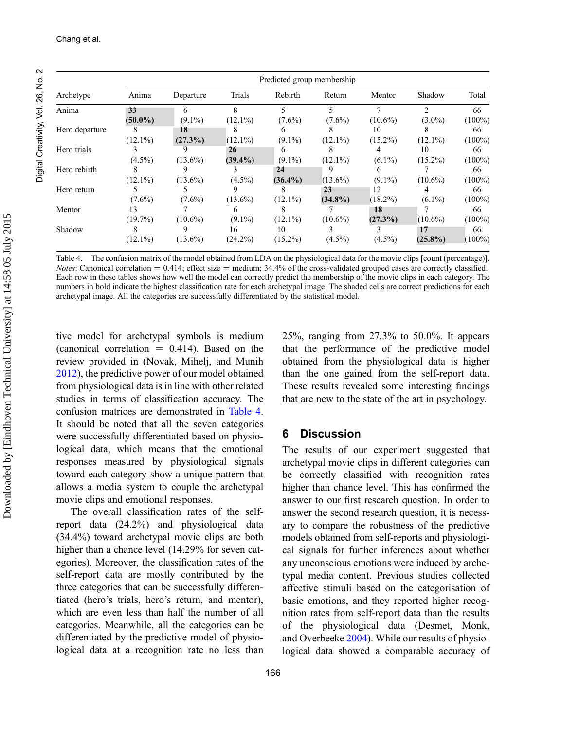<span id="page-13-0"></span>

| Archetype                  | Predicted group membership |            |              |            |            |            |                |           |
|----------------------------|----------------------------|------------|--------------|------------|------------|------------|----------------|-----------|
|                            | Anima                      | Departure  | Trials       | Rebirth    | Return     | Mentor     | Shadow         | Total     |
| Anima                      | 33                         | 6          | $\mathbf{8}$ | 5          | 5          |            | $\overline{c}$ | 66        |
|                            | $(50.0\%)$                 | $(9.1\%)$  | $(12.1\%)$   | $(7.6\%)$  | $(7.6\%)$  | $(10.6\%)$ | $(3.0\%)$      | $(100\%)$ |
| Hero departure<br>8        |                            | 18         | 8            |            |            | 10         |                | 66        |
|                            | $(12.1\%)$                 | (27.3%)    | $(12.1\%)$   | $(9.1\%)$  | $(12.1\%)$ | $(15.2\%)$ | $(12.1\%)$     | $(100\%)$ |
| Hero trials<br>$(4.5\%)$   |                            |            | 26           | 6          | 8          | 4          | 10             | 66        |
|                            |                            | $(13.6\%)$ | $(39.4\%)$   | $(9.1\%)$  | $(12.1\%)$ | $(6.1\%)$  | $(15.2\%)$     | $(100\%)$ |
| Hero rebirth               |                            | 9          |              | 24         |            | 6          |                | 66        |
|                            | $(12.1\%)$                 | $(13.6\%)$ | $(4.5\%)$    | $(36.4\%)$ | $(13.6\%)$ | $(9.1\%)$  | $(10.6\%)$     | $(100\%)$ |
| Hero return                |                            |            |              |            | 23         | 12         | 4              | 66        |
|                            | $(7.6\%)$                  | $(7.6\%)$  | $(13.6\%)$   | $(12.1\%)$ | $(34.8\%)$ | $(18.2\%)$ | $(6.1\%)$      | $(100\%)$ |
| Mentor<br>13<br>$(19.7\%)$ |                            |            | 6            |            |            | 18         |                | 66        |
|                            |                            | $(10.6\%)$ | $(9.1\%)$    | $(12.1\%)$ | $(10.6\%)$ | $(27.3\%)$ | $(10.6\%)$     | $(100\%)$ |
| Shadow                     | 8                          | 9          | 16           | 10         |            |            | 17             | 66        |
|                            | $(12.1\%)$                 | $(13.6\%)$ | $(24.2\%)$   | $(15.2\%)$ | $(4.5\%)$  | $(4.5\%)$  | $(25.8\%)$     | $(100\%)$ |

Table 4. The confusion matrix of the model obtained from LDA on the physiological data for the movie clips [count (percentage)]. *Notes*: Canonical correlation  $= 0.414$ ; effect size  $=$  medium; 34.4% of the cross-validated grouped cases are correctly classified. Each row in these tables shows how well the model can correctly predict the membership of the movie clips in each category. The numbers in bold indicate the highest classification rate for each archetypal image. The shaded cells are correct predictions for each archetypal image. All the categories are successfully differentiated by the statistical model.

tive model for archetypal symbols is medium (canonical correlation  $= 0.414$ ). Based on the review provided in (Novak, Mihelj, and Munih [2012\)](#page-19-0), the predictive power of our model obtained from physiological data is in line with other related studies in terms of classification accuracy. The confusion matrices are demonstrated in Table 4. It should be noted that all the seven categories were successfully differentiated based on physiological data, which means that the emotional responses measured by physiological signals toward each category show a unique pattern that allows a media system to couple the archetypal movie clips and emotional responses.

The overall classification rates of the selfreport data (24.2%) and physiological data (34.4%) toward archetypal movie clips are both higher than a chance level (14.29% for seven categories). Moreover, the classification rates of the self-report data are mostly contributed by the three categories that can be successfully differentiated (hero's trials, hero's return, and mentor), which are even less than half the number of all categories. Meanwhile, all the categories can be differentiated by the predictive model of physiological data at a recognition rate no less than 25%, ranging from 27.3% to 50.0%. It appears that the performance of the predictive model obtained from the physiological data is higher than the one gained from the self-report data. These results revealed some interesting findings that are new to the state of the art in psychology.

#### 6 Discussion

The results of our experiment suggested that archetypal movie clips in different categories can be correctly classified with recognition rates higher than chance level. This has confirmed the answer to our first research question. In order to answer the second research question, it is necessary to compare the robustness of the predictive models obtained from self-reports and physiological signals for further inferences about whether any unconscious emotions were induced by archetypal media content. Previous studies collected affective stimuli based on the categorisation of basic emotions, and they reported higher recognition rates from self-report data than the results of the physiological data (Desmet, Monk, and Overbeeke [2004\)](#page-17-0). While our results of physiological data showed a comparable accuracy of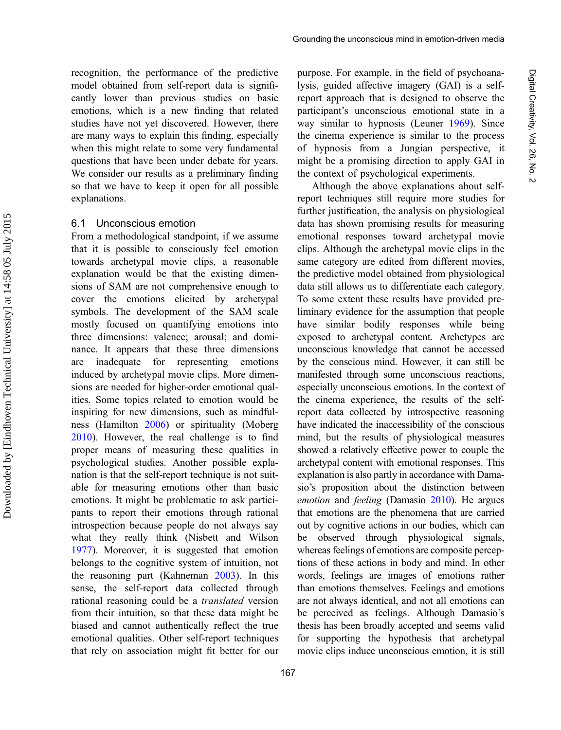recognition, the performance of the predictive model obtained from self-report data is significantly lower than previous studies on basic emotions, which is a new finding that related studies have not yet discovered. However, there are many ways to explain this finding, especially when this might relate to some very fundamental questions that have been under debate for years. We consider our results as a preliminary finding so that we have to keep it open for all possible explanations.

#### 6.1 Unconscious emotion

From a methodological standpoint, if we assume that it is possible to consciously feel emotion towards archetypal movie clips, a reasonable explanation would be that the existing dimensions of SAM are not comprehensive enough to cover the emotions elicited by archetypal symbols. The development of the SAM scale mostly focused on quantifying emotions into three dimensions: valence; arousal; and dominance. It appears that these three dimensions are inadequate for representing emotions induced by archetypal movie clips. More dimensions are needed for higher-order emotional qualities. Some topics related to emotion would be inspiring for new dimensions, such as mindfulness (Hamilton [2006](#page-18-0)) or spirituality (Moberg [2010](#page-19-0)). However, the real challenge is to find proper means of measuring these qualities in psychological studies. Another possible explanation is that the self-report technique is not suitable for measuring emotions other than basic emotions. It might be problematic to ask participants to report their emotions through rational introspection because people do not always say what they really think (Nisbett and Wilson [1977](#page-19-0)). Moreover, it is suggested that emotion belongs to the cognitive system of intuition, not the reasoning part (Kahneman [2003](#page-18-0)). In this sense, the self-report data collected through rational reasoning could be a translated version from their intuition, so that these data might be biased and cannot authentically reflect the true emotional qualities. Other self-report techniques that rely on association might fit better for our purpose. For example, in the field of psychoanalysis, guided affective imagery (GAI) is a selfreport approach that is designed to observe the participant's unconscious emotional state in a way similar to hypnosis (Leuner [1969\)](#page-18-0). Since the cinema experience is similar to the process of hypnosis from a Jungian perspective, it might be a promising direction to apply GAI in the context of psychological experiments.

Although the above explanations about selfreport techniques still require more studies for further justification, the analysis on physiological data has shown promising results for measuring emotional responses toward archetypal movie clips. Although the archetypal movie clips in the same category are edited from different movies, the predictive model obtained from physiological data still allows us to differentiate each category. To some extent these results have provided preliminary evidence for the assumption that people have similar bodily responses while being exposed to archetypal content. Archetypes are unconscious knowledge that cannot be accessed by the conscious mind. However, it can still be manifested through some unconscious reactions, especially unconscious emotions. In the context of the cinema experience, the results of the selfreport data collected by introspective reasoning have indicated the inaccessibility of the conscious mind, but the results of physiological measures showed a relatively effective power to couple the archetypal content with emotional responses. This explanation is also partly in accordance with Damasio's proposition about the distinction between emotion and feeling (Damasio [2010\)](#page-17-0). He argues that emotions are the phenomena that are carried out by cognitive actions in our bodies, which can be observed through physiological signals, whereas feelings of emotions are composite perceptions of these actions in body and mind. In other words, feelings are images of emotions rather than emotions themselves. Feelings and emotions are not always identical, and not all emotions can be perceived as feelings. Although Damasio's thesis has been broadly accepted and seems valid for supporting the hypothesis that archetypal movie clips induce unconscious emotion, it is still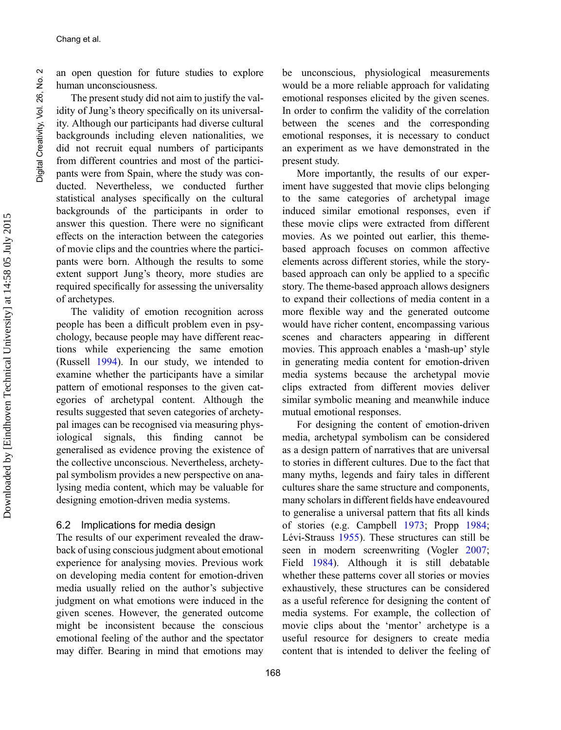an open question for future studies to explore human unconsciousness.

The present study did not aim to justify the validity of Jung's theory specifically on its universality. Although our participants had diverse cultural backgrounds including eleven nationalities, we did not recruit equal numbers of participants from different countries and most of the participants were from Spain, where the study was conducted. Nevertheless, we conducted further statistical analyses specifically on the cultural backgrounds of the participants in order to answer this question. There were no significant effects on the interaction between the categories of movie clips and the countries where the participants were born. Although the results to some extent support Jung's theory, more studies are required specifically for assessing the universality of archetypes.

The validity of emotion recognition across people has been a difficult problem even in psychology, because people may have different reactions while experiencing the same emotion (Russell [1994](#page-19-0)). In our study, we intended to examine whether the participants have a similar pattern of emotional responses to the given categories of archetypal content. Although the results suggested that seven categories of archetypal images can be recognised via measuring physiological signals, this finding cannot be generalised as evidence proving the existence of the collective unconscious. Nevertheless, archetypal symbolism provides a new perspective on analysing media content, which may be valuable for designing emotion-driven media systems.

#### 6.2 Implications for media design

The results of our experiment revealed the drawback of using conscious judgment about emotional experience for analysing movies. Previous work on developing media content for emotion-driven media usually relied on the author's subjective judgment on what emotions were induced in the given scenes. However, the generated outcome might be inconsistent because the conscious emotional feeling of the author and the spectator may differ. Bearing in mind that emotions may be unconscious, physiological measurements would be a more reliable approach for validating emotional responses elicited by the given scenes. In order to confirm the validity of the correlation between the scenes and the corresponding emotional responses, it is necessary to conduct an experiment as we have demonstrated in the present study.

More importantly, the results of our experiment have suggested that movie clips belonging to the same categories of archetypal image induced similar emotional responses, even if these movie clips were extracted from different movies. As we pointed out earlier, this themebased approach focuses on common affective elements across different stories, while the storybased approach can only be applied to a specific story. The theme-based approach allows designers to expand their collections of media content in a more flexible way and the generated outcome would have richer content, encompassing various scenes and characters appearing in different movies. This approach enables a 'mash-up' style in generating media content for emotion-driven media systems because the archetypal movie clips extracted from different movies deliver similar symbolic meaning and meanwhile induce mutual emotional responses.

For designing the content of emotion-driven media, archetypal symbolism can be considered as a design pattern of narratives that are universal to stories in different cultures. Due to the fact that many myths, legends and fairy tales in different cultures share the same structure and components, many scholars in different fields have endeavoured to generalise a universal pattern that fits all kinds of stories (e.g. Campbell [1973;](#page-17-0) Propp [1984;](#page-19-0) Lévi-Strauss [1955](#page-18-0)). These structures can still be seen in modern screenwriting (Vogler [2007;](#page-20-0) Field [1984](#page-18-0)). Although it is still debatable whether these patterns cover all stories or movies exhaustively, these structures can be considered as a useful reference for designing the content of media systems. For example, the collection of movie clips about the 'mentor' archetype is a useful resource for designers to create media content that is intended to deliver the feeling of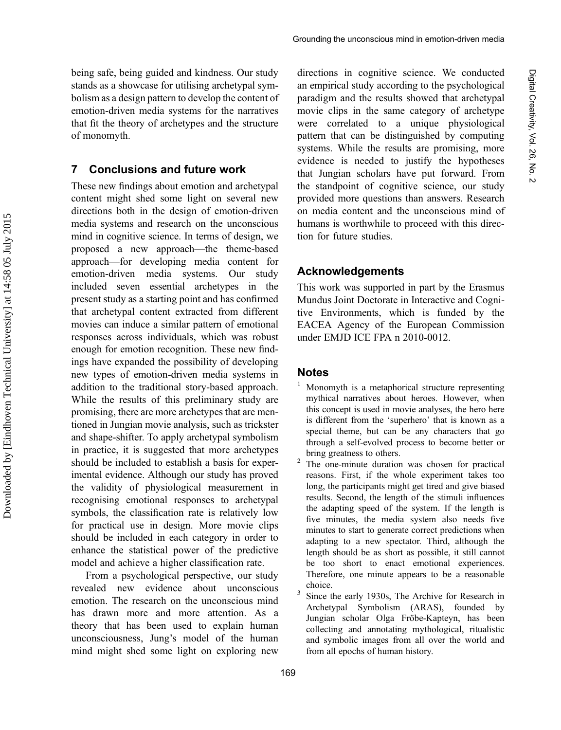<span id="page-16-0"></span>being safe, being guided and kindness. Our study stands as a showcase for utilising archetypal symbolism as a design pattern to develop the content of emotion-driven media systems for the narratives that fit the theory of archetypes and the structure of monomyth.

#### 7 Conclusions and future work

These new findings about emotion and archetypal content might shed some light on several new directions both in the design of emotion-driven media systems and research on the unconscious mind in cognitive science. In terms of design, we proposed a new approach—the theme-based approach—for developing media content for emotion-driven media systems. Our study included seven essential archetypes in the present study as a starting point and has confirmed that archetypal content extracted from different movies can induce a similar pattern of emotional responses across individuals, which was robust enough for emotion recognition. These new findings have expanded the possibility of developing new types of emotion-driven media systems in addition to the traditional story-based approach. While the results of this preliminary study are promising, there are more archetypes that are mentioned in Jungian movie analysis, such as trickster and shape-shifter. To apply archetypal symbolism in practice, it is suggested that more archetypes should be included to establish a basis for experimental evidence. Although our study has proved the validity of physiological measurement in recognising emotional responses to archetypal symbols, the classification rate is relatively low for practical use in design. More movie clips should be included in each category in order to enhance the statistical power of the predictive model and achieve a higher classification rate.

From a psychological perspective, our study revealed new evidence about unconscious emotion. The research on the unconscious mind has drawn more and more attention. As a theory that has been used to explain human unconsciousness, Jung's model of the human mind might shed some light on exploring new directions in cognitive science. We conducted an empirical study according to the psychological paradigm and the results showed that archetypal movie clips in the same category of archetype were correlated to a unique physiological pattern that can be distinguished by computing systems. While the results are promising, more evidence is needed to justify the hypotheses that Jungian scholars have put forward. From the standpoint of cognitive science, our study provided more questions than answers. Research on media content and the unconscious mind of humans is worthwhile to proceed with this direction for future studies.

#### Acknowledgements

This work was supported in part by the Erasmus Mundus Joint Doctorate in Interactive and Cognitive Environments, which is funded by the EACEA Agency of the European Commission under EMJD ICE FPA n 2010-0012.

#### **Notes**

- $1$  Monomyth is a metaphorical structure representing mythical narratives about heroes. However, when this concept is used in movie analyses, the hero here is different from the 'superhero' that is known as a special theme, but can be any characters that go through a self-evolved process to become better or bring greatness to others.<br><sup>2</sup> The one-minute duration was chosen for practical
- reasons. First, if the whole experiment takes too long, the participants might get tired and give biased results. Second, the length of the stimuli influences the adapting speed of the system. If the length is five minutes, the media system also needs five minutes to start to generate correct predictions when adapting to a new spectator. Third, although the length should be as short as possible, it still cannot be too short to enact emotional experiences. Therefore, one minute appears to be a reasonable choice.  $3$  Since the early 1930s, The Archive for Research in
- Archetypal Symbolism (ARAS), founded by Jungian scholar Olga Fröbe-Kapteyn, has been collecting and annotating mythological, ritualistic and symbolic images from all over the world and from all epochs of human history.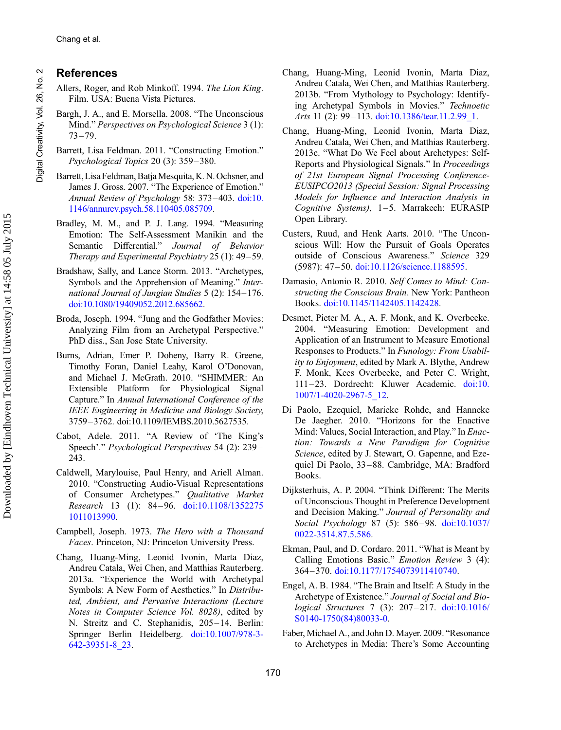#### References

- Allers, Roger, and Rob Minkoff. 1994. The Lion King. Film. USA: Buena Vista Pictures.
- Bargh, J. A., and E. Morsella. 2008. "The Unconscious Mind." Perspectives on Psychological Science 3 (1):  $73 - 79.$
- Barrett, Lisa Feldman. 2011. "Constructing Emotion." Psychological Topics 20 (3): 359 –380.
- Barrett, Lisa Feldman, BatjaMesquita, K. N. Ochsner, and James J. Gross. 2007. "The Experience of Emotion." Annual Review of Psychology 58: 373–403. [doi:10.](http://dx.doi.org/10.1146/annurev.psych.58.110405.085709) [1146/annurev.psych.58.110405.085709](http://dx.doi.org/10.1146/annurev.psych.58.110405.085709).
- Bradley, M. M., and P. J. Lang. 1994. "Measuring Emotion: The Self-Assessment Manikin and the Semantic Differential." Journal of Behavior Therapy and Experimental Psychiatry 25 (1): 49–59.
- Bradshaw, Sally, and Lance Storm. 2013. "Archetypes, Symbols and the Apprehension of Meaning." International Journal of Jungian Studies 5 (2): 154–176. [doi:10.1080/19409052.2012.685662.](http://dx.doi.org/10.1080/19409052.2012.685662)
- Broda, Joseph. 1994. "Jung and the Godfather Movies: Analyzing Film from an Archetypal Perspective." PhD diss., San Jose State University.
- Burns, Adrian, Emer P. Doheny, Barry R. Greene, Timothy Foran, Daniel Leahy, Karol O'Donovan, and Michael J. McGrath. 2010. "SHIMMER: An Extensible Platform for Physiological Signal Capture." In Annual International Conference of the IEEE Engineering in Medicine and Biology Society, 3759–3762. doi:10.1109/IEMBS.2010.5627535.
- Cabot, Adele. 2011. "A Review of 'The King's Speech'." Psychological Perspectives 54 (2): 239 – 243.
- Caldwell, Marylouise, Paul Henry, and Ariell Alman. 2010. "Constructing Audio-Visual Representations of Consumer Archetypes." Qualitative Market Research 13 (1): 84–96. [doi:10.1108/1352275](http://dx.doi.org/10.1108/13522751011013990) [1011013990](http://dx.doi.org/10.1108/13522751011013990).
- Campbell, Joseph. 1973. The Hero with a Thousand Faces. Princeton, NJ: Princeton University Press.
- Chang, Huang-Ming, Leonid Ivonin, Marta Diaz, Andreu Catala, Wei Chen, and Matthias Rauterberg. 2013a. "Experience the World with Archetypal Symbols: A New Form of Aesthetics." In Distributed, Ambient, and Pervasive Interactions (Lecture Notes in Computer Science Vol. 8028), edited by N. Streitz and C. Stephanidis, 205-14. Berlin: Springer Berlin Heidelberg. [doi:10.1007/978-3-](http://dx.doi.org/10.1007/978-3-642-39351-8_23) [642-39351-8\\_23](http://dx.doi.org/10.1007/978-3-642-39351-8_23).
- Chang, Huang-Ming, Leonid Ivonin, Marta Diaz, Andreu Catala, Wei Chen, and Matthias Rauterberg. 2013b. "From Mythology to Psychology: Identifying Archetypal Symbols in Movies." Technoetic Arts 11 (2): 99-113. doi:10.1386/tear.11.2.99 1.
- Chang, Huang-Ming, Leonid Ivonin, Marta Diaz, Andreu Catala, Wei Chen, and Matthias Rauterberg. 2013c. "What Do We Feel about Archetypes: Self-Reports and Physiological Signals." In Proceedings of 21st European Signal Processing Conference-EUSIPCO2013 (Special Session: Signal Processing Models for Influence and Interaction Analysis in Cognitive Systems), 1–5. Marrakech: EURASIP Open Library.
- Custers, Ruud, and Henk Aarts. 2010. "The Unconscious Will: How the Pursuit of Goals Operates outside of Conscious Awareness." Science 329 (5987): 47 –50. [doi:10.1126/science.1188595](http://dx.doi.org/10.1126/science.1188595).
- Damasio, Antonio R. 2010. Self Comes to Mind: Constructing the Conscious Brain. New York: Pantheon Books. [doi:10.1145/1142405.1142428](http://dx.doi.org/10.1145/1142405.1142428).
- Desmet, Pieter M. A., A. F. Monk, and K. Overbeeke. 2004. "Measuring Emotion: Development and Application of an Instrument to Measure Emotional Responses to Products." In Funology: From Usability to Enjoyment, edited by Mark A. Blythe, Andrew F. Monk, Kees Overbeeke, and Peter C. Wright, 111–23. Dordrecht: Kluwer Academic. [doi:10.](http://dx.doi.org/10.1007/1-4020-2967-5_12) [1007/1-4020-2967-5\\_12](http://dx.doi.org/10.1007/1-4020-2967-5_12).
- Di Paolo, Ezequiel, Marieke Rohde, and Hanneke De Jaegher. 2010. "Horizons for the Enactive Mind: Values, Social Interaction, and Play." In Enaction: Towards a New Paradigm for Cognitive Science, edited by J. Stewart, O. Gapenne, and Ezequiel Di Paolo, 33–88. Cambridge, MA: Bradford Books.
- Dijksterhuis, A. P. 2004. "Think Different: The Merits of Unconscious Thought in Preference Development and Decision Making." Journal of Personality and Social Psychology 87 (5): 586-98. [doi:10.1037/](http://dx.doi.org/10.1037/0022-3514.87.5.586) [0022-3514.87.5.586](http://dx.doi.org/10.1037/0022-3514.87.5.586).
- Ekman, Paul, and D. Cordaro. 2011. "What is Meant by Calling Emotions Basic." Emotion Review 3 (4): 364 –370. [doi:10.1177/1754073911410740.](http://dx.doi.org/10.1177/1754073911410740)
- Engel, A. B. 1984. "The Brain and Itself: A Study in the Archetype of Existence." Journal of Social and Biological Structures 7 (3): 207 –217. [doi:10.1016/](http://dx.doi.org/10.1016/S0140-1750(84)80033-0) [S0140-1750\(84\)80033-0](http://dx.doi.org/10.1016/S0140-1750(84)80033-0).
- Faber, Michael A., and John D. Mayer. 2009. "Resonance to Archetypes in Media: There's Some Accounting

Digital Creativity, Vol. 26, No. 2

Digital Creativity, Vol. 26, No.

<span id="page-17-0"></span> $\sim$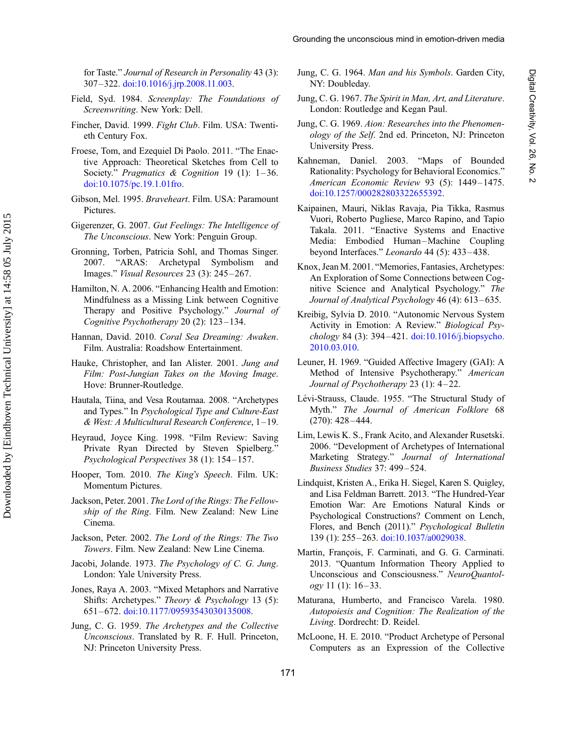<span id="page-18-0"></span>for Taste." Journal of Research in Personality 43 (3): 307–322. [doi:10.1016/j.jrp.2008.11.003.](http://dx.doi.org/10.1016/j.jrp.2008.11.003)

- Field, Syd. 1984. Screenplay: The Foundations of Screenwriting. New York: Dell.
- Fincher, David. 1999. Fight Club. Film. USA: Twentieth Century Fox.
- Froese, Tom, and Ezequiel Di Paolo. 2011. "The Enactive Approach: Theoretical Sketches from Cell to Society." Pragmatics & Cognition 19 (1): 1-36. [doi:10.1075/pc.19.1.01fro.](http://dx.doi.org/10.1075/pc.19.1.01fro)
- Gibson, Mel. 1995. Braveheart. Film. USA: Paramount Pictures.
- Gigerenzer, G. 2007. Gut Feelings: The Intelligence of The Unconscious. New York: Penguin Group.
- Gronning, Torben, Patricia Sohl, and Thomas Singer. 2007. "ARAS: Archetypal Symbolism and Images." Visual Resources 23 (3): 245 –267.
- Hamilton, N. A. 2006. "Enhancing Health and Emotion: Mindfulness as a Missing Link between Cognitive Therapy and Positive Psychology." Journal of Cognitive Psychotherapy 20 (2): 123-134.
- Hannan, David. 2010. Coral Sea Dreaming: Awaken. Film. Australia: Roadshow Entertainment.
- Hauke, Christopher, and Ian Alister. 2001. Jung and Film: Post-Jungian Takes on the Moving Image. Hove: Brunner-Routledge.
- Hautala, Tiina, and Vesa Routamaa. 2008. "Archetypes and Types." In Psychological Type and Culture-East & West: A Multicultural Research Conference, 1–19.
- Heyraud, Joyce King. 1998. "Film Review: Saving Private Ryan Directed by Steven Spielberg.' Psychological Perspectives 38 (1): 154– 157.
- Hooper, Tom. 2010. The King's Speech. Film. UK: Momentum Pictures.
- Jackson, Peter. 2001. The Lord of the Rings: The Fellowship of the Ring. Film. New Zealand: New Line Cinema.
- Jackson, Peter. 2002. The Lord of the Rings: The Two Towers. Film. New Zealand: New Line Cinema.
- Jacobi, Jolande. 1973. The Psychology of C. G. Jung. London: Yale University Press.
- Jones, Raya A. 2003. "Mixed Metaphors and Narrative Shifts: Archetypes." Theory & Psychology 13 (5): 651– 672. [doi:10.1177/09593543030135008.](http://dx.doi.org/10.1177/09593543030135008)
- Jung, C. G. 1959. The Archetypes and the Collective Unconscious. Translated by R. F. Hull. Princeton, NJ: Princeton University Press.
- Jung, C. G. 1964. Man and his Symbols. Garden City, NY: Doubleday.
- Jung, C. G. 1967. The Spirit in Man, Art, and Literature. London: Routledge and Kegan Paul.
- Jung, C. G. 1969. Aion: Researches into the Phenomenology of the Self. 2nd ed. Princeton, NJ: Princeton University Press.
- Kahneman, Daniel. 2003. "Maps of Bounded Rationality: Psychology for Behavioral Economics." American Economic Review 93 (5): 1449– 1475. [doi:10.1257/000282803322655392](http://dx.doi.org/10.1257/000282803322655392).
- Kaipainen, Mauri, Niklas Ravaja, Pia Tikka, Rasmus Vuori, Roberto Pugliese, Marco Rapino, and Tapio Takala. 2011. "Enactive Systems and Enactive Media: Embodied Human-Machine Coupling beyond Interfaces." Leonardo 44 (5): 433-438.
- Knox, Jean M. 2001. "Memories, Fantasies, Archetypes: An Exploration of Some Connections between Cognitive Science and Analytical Psychology." The Journal of Analytical Psychology 46 (4): 613-635.
- Kreibig, Sylvia D. 2010. "Autonomic Nervous System Activity in Emotion: A Review." Biological Psychology 84 (3): 394 –421. [doi:10.1016/j.biopsycho.](http://dx.doi.org/10.1016/j.biopsycho.2010.03.010) [2010.03.010.](http://dx.doi.org/10.1016/j.biopsycho.2010.03.010)
- Leuner, H. 1969. "Guided Affective Imagery (GAI): A Method of Intensive Psychotherapy." American Journal of Psychotherapy 23 (1): 4–22.
- Lévi-Strauss, Claude. 1955. "The Structural Study of Myth." The Journal of American Folklore 68  $(270): 428 - 444.$
- Lim, Lewis K. S., Frank Acito, and Alexander Rusetski. 2006. "Development of Archetypes of International Marketing Strategy." Journal of International Business Studies 37: 499-524.
- Lindquist, Kristen A., Erika H. Siegel, Karen S. Quigley, and Lisa Feldman Barrett. 2013. "The Hundred-Year Emotion War: Are Emotions Natural Kinds or Psychological Constructions? Comment on Lench, Flores, and Bench (2011)." Psychological Bulletin 139 (1): 255–263. [doi:10.1037/a0029038](http://dx.doi.org/10.1037/a0029038).
- Martin, François, F. Carminati, and G. G. Carminati. 2013. "Quantum Information Theory Applied to Unconscious and Consciousness." NeuroQuantol $ogy$  11 (1): 16–33.
- Maturana, Humberto, and Francisco Varela. 1980. Autopoiesis and Cognition: The Realization of the Living. Dordrecht: D. Reidel.
- McLoone, H. E. 2010. "Product Archetype of Personal Computers as an Expression of the Collective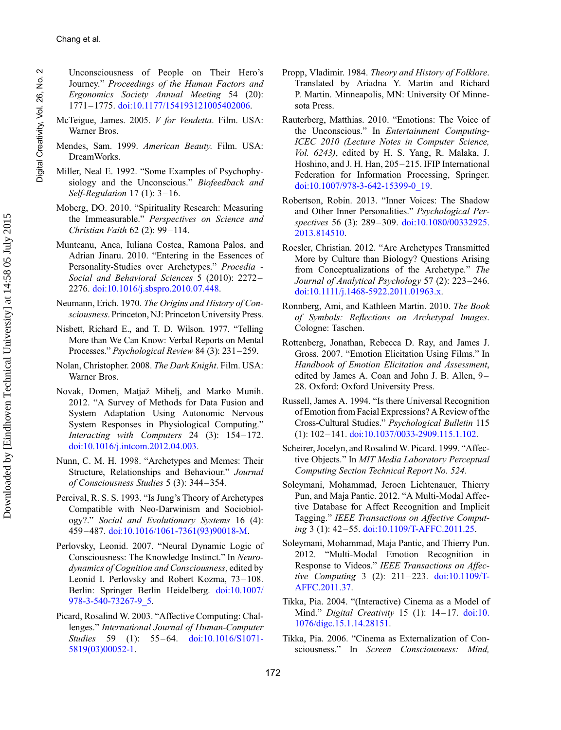<span id="page-19-0"></span>Unconsciousness of People on Their Hero's Journey." Proceedings of the Human Factors and Ergonomics Society Annual Meeting 54 (20): 1771–1775. [doi:10.1177/154193121005402006.](http://dx.doi.org/10.1177/154193121005402006)

- McTeigue, James. 2005. V for Vendetta. Film. USA: Warner Bros.
- Mendes, Sam. 1999. American Beauty. Film. USA: DreamWorks.
- Miller, Neal E. 1992. "Some Examples of Psychophysiology and the Unconscious." Biofeedback and Self-Regulation 17 (1): 3-16.
- Moberg, DO. 2010. "Spirituality Research: Measuring the Immeasurable." Perspectives on Science and Christian Faith 62 (2): 99-114.
- Munteanu, Anca, Iuliana Costea, Ramona Palos, and Adrian Jinaru. 2010. "Entering in the Essences of Personality-Studies over Archetypes." Procedia - Social and Behavioral Sciences 5 (2010): 2272 – 2276. [doi:10.1016/j.sbspro.2010.07.448](http://dx.doi.org/10.1016/j.sbspro.2010.07.448).
- Neumann, Erich. 1970. The Origins and History of Consciousness. Princeton, NJ: Princeton University Press.
- Nisbett, Richard E., and T. D. Wilson. 1977. "Telling More than We Can Know: Verbal Reports on Mental Processes." Psychological Review 84 (3): 231–259.
- Nolan, Christopher. 2008. The Dark Knight. Film. USA: Warner Bros.
- Novak, Domen, Matjaž Mihelj, and Marko Munih. 2012. "A Survey of Methods for Data Fusion and System Adaptation Using Autonomic Nervous System Responses in Physiological Computing." Interacting with Computers  $24$  (3): 154-172. [doi:10.1016/j.intcom.2012.04.003.](http://dx.doi.org/10.1016/j.intcom.2012.04.003)
- Nunn, C. M. H. 1998. "Archetypes and Memes: Their Structure, Relationships and Behaviour." Journal of Consciousness Studies 5 (3): 344– 354.
- Percival, R. S. S. 1993. "Is Jung's Theory of Archetypes Compatible with Neo-Darwinism and Sociobiology?." Social and Evolutionary Systems 16 (4): 459 –487. [doi:10.1016/1061-7361\(93\)90018-M](http://dx.doi.org/10.1016/1061-7361(93)90018-M).
- Perlovsky, Leonid. 2007. "Neural Dynamic Logic of Consciousness: The Knowledge Instinct." In Neurodynamics of Cognition and Consciousness, edited by Leonid I. Perlovsky and Robert Kozma, 73–108. Berlin: Springer Berlin Heidelberg. [doi:10.1007/](http://dx.doi.org/10.1007/978-3-540-73267-9_5) [978-3-540-73267-9\\_5.](http://dx.doi.org/10.1007/978-3-540-73267-9_5)
- Picard, Rosalind W. 2003. "Affective Computing: Challenges." International Journal of Human-Computer Studies 59 (1): 55–64. [doi:10.1016/S1071-](http://dx.doi.org/10.1016/S1071-5819(03)00052-1) [5819\(03\)00052-1](http://dx.doi.org/10.1016/S1071-5819(03)00052-1).
- Propp, Vladimir. 1984. Theory and History of Folklore. Translated by Ariadna Y. Martin and Richard P. Martin. Minneapolis, MN: University Of Minnesota Press.
- Rauterberg, Matthias. 2010. "Emotions: The Voice of the Unconscious." In Entertainment Computing-ICEC 2010 (Lecture Notes in Computer Science, Vol. 6243), edited by H. S. Yang, R. Malaka, J. Hoshino, and J. H. Han, 205 –215. IFIP International Federation for Information Processing, Springer. [doi:10.1007/978-3-642-15399-0\\_19.](http://dx.doi.org/10.1007/978-3-642-15399-0_19)
- Robertson, Robin. 2013. "Inner Voices: The Shadow and Other Inner Personalities." Psychological Perspectives 56 (3): 289-309. [doi:10.1080/00332925.](http://dx.doi.org/10.1080/00332925.2013.814510) [2013.814510.](http://dx.doi.org/10.1080/00332925.2013.814510)
- Roesler, Christian. 2012. "Are Archetypes Transmitted More by Culture than Biology? Questions Arising from Conceptualizations of the Archetype." The Journal of Analytical Psychology 57 (2): 223 –246. [doi:10.1111/j.1468-5922.2011.01963.x](http://dx.doi.org/10.1111/j.1468-5922.2011.01963.x).
- Ronnberg, Ami, and Kathleen Martin. 2010. The Book of Symbols: Reflections on Archetypal Images. Cologne: Taschen.
- Rottenberg, Jonathan, Rebecca D. Ray, and James J. Gross. 2007. "Emotion Elicitation Using Films." In Handbook of Emotion Elicitation and Assessment, edited by James A. Coan and John J. B. Allen, 9-28. Oxford: Oxford University Press.
- Russell, James A. 1994. "Is there Universal Recognition of Emotion from Facial Expressions? A Review of the Cross-Cultural Studies." Psychological Bulletin 115 (1): 102–141. [doi:10.1037/0033-2909.115.1.102.](http://dx.doi.org/10.1037/0033-2909.115.1.102)
- Scheirer, Jocelyn, and Rosalind W. Picard. 1999. "Affective Objects." In MIT Media Laboratory Perceptual Computing Section Technical Report No. 524.
- Soleymani, Mohammad, Jeroen Lichtenauer, Thierry Pun, and Maja Pantic. 2012. "A Multi-Modal Affective Database for Affect Recognition and Implicit Tagging." IEEE Transactions on Affective Computing 3 (1): 42 –55. [doi:10.1109/T-AFFC.2011.25](http://dx.doi.org/10.1109/T-AFFC.2011.25).
- Soleymani, Mohammad, Maja Pantic, and Thierry Pun. 2012. "Multi-Modal Emotion Recognition in Response to Videos." IEEE Transactions on Affective Computing 3 (2): 211–223. [doi:10.1109/T-](http://dx.doi.org/10.1109/T-AFFC.2011.37)[AFFC.2011.37](http://dx.doi.org/10.1109/T-AFFC.2011.37).
- Tikka, Pia. 2004. "(Interactive) Cinema as a Model of Mind." Digital Creativity 15 (1): 14-17. [doi:10.](http://dx.doi.org/10.1076/digc.15.1.14.28151) [1076/digc.15.1.14.28151](http://dx.doi.org/10.1076/digc.15.1.14.28151).
- Tikka, Pia. 2006. "Cinema as Externalization of Consciousness." In Screen Consciousness: Mind,